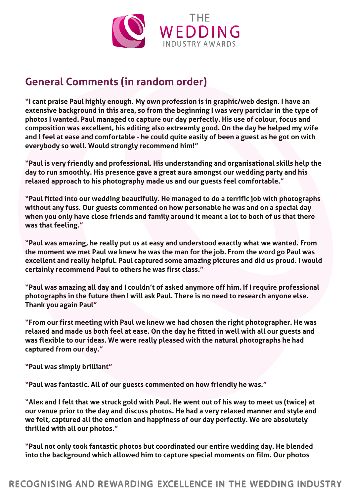

## **General Comments (in random order)**

"I cant praise Paul highly enough. My own profession is in graphic/web design. I have an extensive background in this area, so from the beginning I was very particlar in the type of photos I wanted. Paul managed to capture our day perfectly. His use of colour, focus and composition was excellent, his editing also extreemly good. On the day he helped my wife and I feel at ease and comfortable - he could quite easily of been a guest as he got on with everybody so well. Would strongly recommend him!"

"Paul is very friendly and professional. His understanding and organisational skills help the day to run smoothly. His presence gave a great aura amongst our wedding party and his relaxed approach to his photography made us and our guests feel comfortable."

"Paul fitted into our wedding beautifully. He managed to do a terrific job with photographs without any fuss. Our guests commented on how personable he was and on a special day when you only have close friends and family around it meant a lot to both of us that there was that feeling."

"Paul was amazing, he really put us at easy and understood exactly what we wanted. From the moment we met Paul we knew he was the man for the job. From the word go Paul was excellent and really helpful. Paul captured some amazing pictures and did us proud. I would certainly recommend Paul to others he was first class."

"Paul was amazing all day and I couldn't of asked anymore off him. If I require professional photographs in the future then I will ask Paul. There is no need to research anyone else. Thank you again Paul"

"From our first meeting with Paul we knew we had chosen the right photographer. He was relaxed and made us both feel at ease. On the day he fitted in well with all our guests and was flexible to our ideas. We were really pleased with the natural photographs he had captured from our day."

"Paul was simply brilliant"

"Paul was fantastic. All of our guests commented on how friendly he was."

"Alex and I felt that we struck gold with Paul. He went out of his way to meet us (twice) at our venue prior to the day and discuss photos. He had a very relaxed manner and style and we felt, captured all the emotion and happiness of our day perfectly. We are absolutely thrilled with all our photos."

"Paul not only took fantastic photos but coordinated our entire wedding day. He blended into the background which allowed him to capture special moments on film. Our photos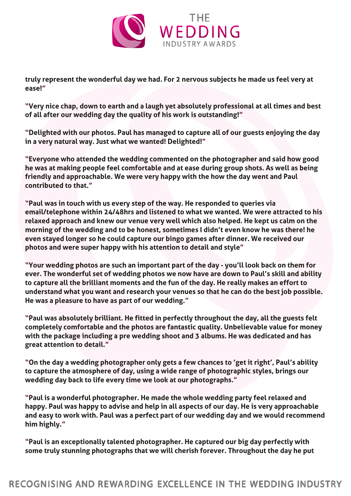

truly represent the wonderful day we had. For 2 nervous subjects he made us feel very at ease!"

"Very nice chap, down to earth and a laugh yet absolutely professional at all times and best of all after our wedding day the quality of his work is outstanding!"

"Delighted with our photos. Paul has managed to capture all of our guests enjoying the day in a very natural way. Just what we wanted! Delighted!"

"Everyone who attended the wedding commented on the photographer and said how good he was at making people feel comfortable and at ease during group shots. As well as being friendly and approachable. We were very happy with the how the day went and Paul contributed to that."

"Paul was in touch with us every step of the way. He responded to queries via email/telephone within 24/48hrs and listened to what we wanted. We were attracted to his relaxed approach and knew our venue very well which also helped. He kept us calm on the morning of the wedding and to be honest, sometimes I didn't even know he was there! he even stayed longer so he could capture our bingo games after dinner. We received our photos and were super happy with his attention to detail and style"

"Your wedding photos are such an important part of the day - you'll look back on them for ever. The wonderful set of wedding photos we now have are down to Paul's skill and ability to capture all the brilliant moments and the fun of the day. He really makes an effort to understand what you want and research your venues so that he can do the best job possible. He was a pleasure to have as part of our wedding."

"Paul was absolutely brilliant. He fitted in perfectly throughout the day, all the guests felt completely comfortable and the photos are fantastic quality. Unbelievable value for money with the package including a pre wedding shoot and 3 albums. He was dedicated and has great attention to detail."

"On the day a wedding photographer only gets a few chances to 'get it right', Paul's ability to capture the atmosphere of day, using a wide range of photographic styles, brings our wedding day back to life every time we look at our photographs."

"Paul is a wonderful photographer. He made the whole wedding party feel relaxed and happy. Paul was happy to advise and help in all aspects of our day. He is very approachable and easy to work with. Paul was a perfect part of our wedding day and we would recommend him highly."

"Paul is an exceptionally talented photographer. He captured our big day perfectly with some truly stunning photographs that we will cherish forever. Throughout the day he put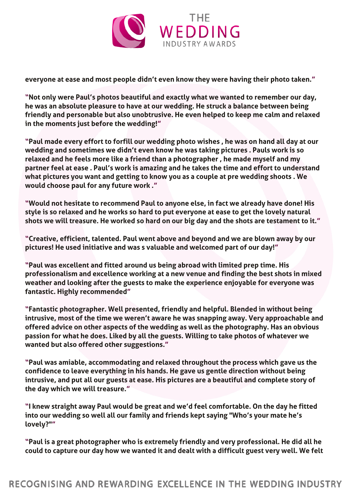

everyone at ease and most people didn't even know they were having their photo taken."

"Not only were Paul's photos beautiful and exactly what we wanted to remember our day, he was an absolute pleasure to have at our wedding. He struck a balance between being friendly and personable but also unobtrusive. He even helped to keep me calm and relaxed in the moments just before the wedding!"

"Paul made every effort to forfill our wedding photo wishes , he was on hand all day at our wedding and sometimes we didn't even know he was taking pictures . Pauls work is so relaxed and he feels more like a friend than a photographer , he made myself and my partner feel at ease . Paul's work is amazing and he takes the time and effort to understand what pictures you want and getting to know you as a couple at pre wedding shoots . We would choose paul for any future work ."

"Would not hesitate to recommend Paul to anyone else, in fact we already have done! His style is so relaxed and he works so hard to put everyone at ease to get the lovely natural shots we will treasure. He worked so hard on our big day and the shots are testament to it."

"Creative, efficient, talented. Paul went above and beyond and we are blown away by our pictures! He used initiative and was s valuable and welcomed part of our day!"

"Paul was excellent and fitted around us being abroad with limited prep time. His professionalism and excellence working at a new venue and finding the best shots in mixed weather and looking after the guests to make the experience enjoyable for everyone was fantastic. Highly recommended"

"Fantastic photographer. Well presented, friendly and helpful. Blended in without being intrusive, most of the time we weren't aware he was snapping away. Very approachable and offered advice on other aspects of the wedding as well as the photography. Has an obvious passion for what he does. Liked by all the guests. Willing to take photos of whatever we wanted but also offered other suggestions."

"Paul was amiable, accommodating and relaxed throughout the process which gave us the confidence to leave everything in his hands. He gave us gentle direction without being intrusive, and put all our guests at ease. His pictures are a beautiful and complete story of the day which we will treasure."

"I knew straight away Paul would be great and we'd feel comfortable. On the day he fitted into our wedding so well all our family and friends kept saying "Who's your mate he's lovely?""

"Paul is a great photographer who is extremely friendly and very professional. He did all he could to capture our day how we wanted it and dealt with a difficult guest very well. We felt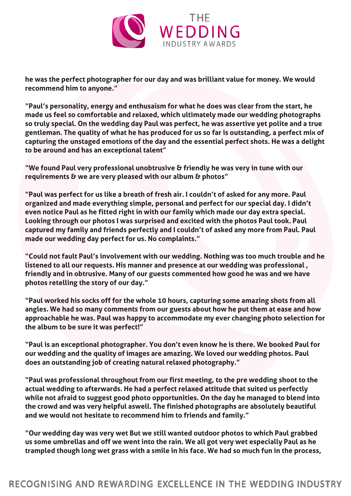

he was the perfect photographer for our day and was brilliant value for money. We would recommend him to anyone."

"Paul's personality, energy and enthusaism for what he does was clear from the start, he made us feel so comfortable and relaxed, which ultimately made our wedding photographs so truly special. On the wedding day Paul was perfect, he was assertive yet polite and a true gentleman. The quality of what he has produced for us so far is outstanding, a perfect mix of capturing the unstaged emotions of the day and the essential perfect shots. He was a delight to be around and has an exceptional talent"

"We found Paul very professional unobtrusive & friendly he was very in tune with our requirements & we are very pleased with our album & photos"

"Paul was perfect for us like a breath of fresh air. I couldn't of asked for any more. Paul organized and made everything simple, personal and perfect for our special day. I didn't even notice Paul as he fitted right in with our family which made our day extra special. Looking through our photos I was surprised and excited with the photos Paul took. Paul captured my family and friends perfectly and I couldn't of asked any more from Paul. Paul made our wedding day perfect for us. No complaints."

"Could not fault Paul's involvement with our wedding. Nothing was too much trouble and he listened to all our requests. His manner and presence at our wedding was professional , friendly and in obtrusive. Many of our guests commented how good he was and we have photos retelling the story of our day."

"Paul worked his socks off for the whole 10 hours, capturing some amazing shots from all angles. We had so many comments from our guests about how he put them at ease and how approachable he was. Paul was happy to accommodate my ever changing photo selection for the album to be sure it was perfect!"

"Paul is an exceptional photographer. You don't even know he is there. We booked Paul for our wedding and the quality of images are amazing. We loved our wedding photos. Paul does an outstanding job of creating natural relaxed photography."

"Paul was professional throughout from our first meeting, to the pre wedding shoot to the actual wedding to afterwards. He had a perfect relaxed attitude that suited us perfectly while not afraid to suggest good photo opportunities. On the day he managed to blend into the crowd and was very helpful aswell. The finished photographs are absolutely beautiful and we would not hesitate to recommend him to friends and family."

"Our wedding day was very wet But we still wanted outdoor photos to which Paul grabbed us some umbrellas and off we went into the rain. We all got very wet especially Paul as he trampled though long wet grass with a smile in his face. We had so much fun in the process,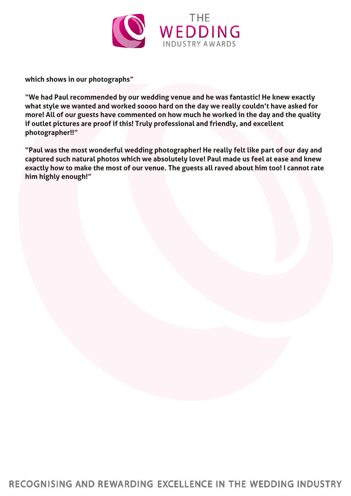

which shows in our photographs"

"We had Paul recommended by our wedding venue and he was fantastic! He knew exactly what style we wanted and worked soooo hard on the day we really couldn't have asked for more! All of our guests have commented on how much he worked in the day and the quality if outlet pictures are proof if this! Truly professional and friendly, and excellent photographer!!"

"Paul was the most wonderful wedding photographer! He really felt like part of our day and captured such natural photos which we absolutely love! Paul made us feel at ease and knew exactly how to make the most of our venue. The guests all raved about him too! I cannot rate him highly enough!"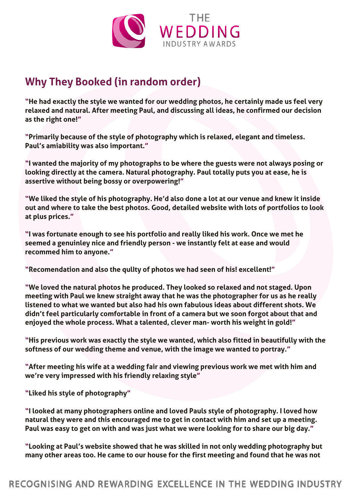

## **Why They Booked (in random order)**

"He had exactly the style we wanted for our wedding photos, he certainly made us feel very relaxed and natural. After meeting Paul, and discussing all ideas, he confirmed our decision as the right one!"

"Primarily because of the style of photography which is relaxed, elegant and timeless. Paul's amiability was also important."

"I wanted the majority of my photographs to be where the guests were not always posing or looking directly at the camera. Natural photography. Paul totally puts you at ease, he is assertive without being bossy or overpowering!"

"We liked the style of his photography. He'd also done a lot at our venue and knew it inside out and where to take the best photos. Good, detailed website with lots of portfolios to look at plus prices."

"I was fortunate enough to see his portfolio and really liked his work. Once we met he seemed a genuinley nice and friendly person - we instantly felt at ease and would recommed him to anyone."

"Recomendation and also the qulIty of photos we had seen of his! excellent!"

"We loved the natural photos he produced. They looked so relaxed and not staged. Upon meeting with Paul we knew straight away that he was the photographer for us as he really listened to what we wanted but also had his own fabulous ideas about different shots. We didn't feel particularly comfortable in front of a camera but we soon forgot about that and enjoyed the whole process. What a talented, clever man- worth his weight in gold!"

"His previous work was exactly the style we wanted, which also fitted in beautifully with the softness of our wedding theme and venue, with the image we wanted to portray."

"After meeting his wife at a wedding fair and viewing previous work we met with him and we're very impressed with his friendly relaxing style"

"Liked his style of photography"

"I looked at many photographers online and loved Pauls style of photography. I loved how natural they were and this encouraged me to get in contact with him and set up a meeting. Paul was easy to get on with and was just what we were looking for to share our big day."

"Looking at Paul's website showed that he was skilled in not only wedding photography but many other areas too. He came to our house for the first meeting and found that he was not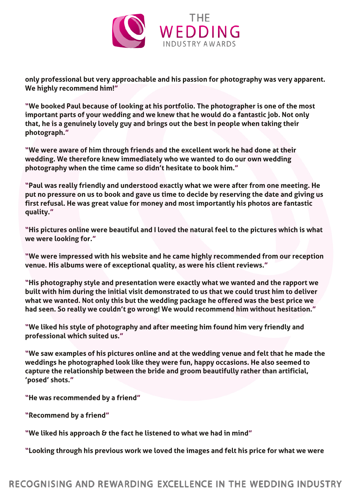

only professional but very approachable and his passion for photography was very apparent. We highly recommend him!"

"We booked Paul because of looking at his portfolio. The photographer is one of the most important parts of your wedding and we knew that he would do a fantastic job. Not only that, he is a genuinely lovely guy and brings out the best in people when taking their photograph."

"We were aware of him through friends and the excellent work he had done at their wedding. We therefore knew immediately who we wanted to do our own wedding photography when the time came so didn't hesitate to book him."

"Paul was really friendly and understood exactly what we were after from one meeting. He put no pressure on us to book and gave us time to decide by reserving the date and giving us first refusal. He was great value for money and most importantly his photos are fantastic quality."

"His pictures online were beautiful and I loved the natural feel to the pictures which is what we were looking for."

"We were impressed with his website and he came highly recommended from our reception venue. His albums were of exceptional quality, as were his client reviews."

"His photography style and presentation were exactly what we wanted and the rapport we built with him during the initial visit demonstrated to us that we could trust him to deliver what we wanted. Not only this but the wedding package he offered was the best price we had seen. So really we couldn't go wrong! We would recommend him without hesitation."

"We liked his style of photography and after meeting him found him very friendly and professional which suited us."

"We saw examples of his pictures online and at the wedding venue and felt that he made the weddings he photographed look like they were fun, happy occasions. He also seemed to capture the relationship between the bride and groom beautifully rather than artificial, 'posed' shots."

"He was recommended by a friend"

"Recommend by a friend"

"We liked his approach  $\theta$  the fact he listened to what we had in mind"

"Looking through his previous work we loved the images and felt his price for what we were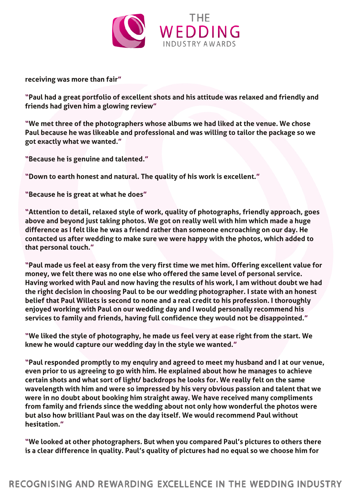

receiving was more than fair"

"Paul had a great portfolio of excellent shots and his attitude was relaxed and friendly and friends had given him a glowing review"

"We met three of the photographers whose albums we had liked at the venue. We chose Paul because he was likeable and professional and was willing to tailor the package so we got exactly what we wanted."

"Because he is genuine and talented."

"Down to earth honest and natural. The quality of his work is excellent."

"Because he is great at what he does"

"Attention to detail, relaxed style of work, quality of photographs, friendly approach, goes above and beyond just taking photos. We got on really well with him which made a huge difference as I felt like he was a friend rather than someone encroaching on our day. He contacted us after wedding to make sure we were happy with the photos, which added to that personal touch."

"Paul made us feel at easy from the very first time we met him. Offering excellent value for money, we felt there was no one else who offered the same level of personal service. Having worked with Paul and now having the results of his work, I am without doubt we had the right decision in choosing Paul to be our wedding photographer. I state with an honest belief that Paul Willets is second to none and a real credit to his profession. I thoroughly enjoyed working with Paul on our wedding day and I would personally recommend his services to family and friends, having full confidence they would not be disappointed."

"We liked the style of photography, he made us feel very at ease right from the start. We knew he would capture our wedding day in the style we wanted."

"Paul responded promptly to my enquiry and agreed to meet my husband and I at our venue, even prior to us agreeing to go with him. He explained about how he manages to achieve certain shots and what sort of light/ backdrops he looks for. We really felt on the same wavelength with him and were so impressed by his very obvious passion and talent that we were in no doubt about booking him straight away. We have received many compliments from family and friends since the wedding about not only how wonderful the photos were but also how brilliant Paul was on the day itself. We would recommend Paul without hesitation."

"We looked at other photographers. But when you compared Paul's pictures to others there is a clear difference in quality. Paul's quality of pictures had no equal so we choose him for